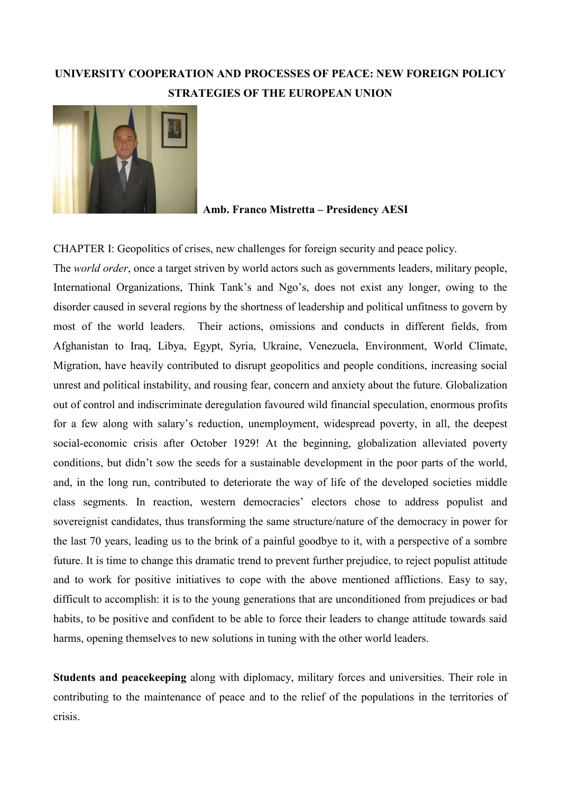# **UNIVERSITY COOPERATION AND PROCESSES OF PEACE: NEW FOREIGN POLICY STRATEGIES OF THE EUROPEAN UNION**



## **Amb. Franco Mistretta – Presidency AESI**

CHAPTER I: Geopolitics of crises, new challenges for foreign security and peace policy.

The *world order*, once a target striven by world actors such as governments leaders, military people, International Organizations, Think Tank's and Ngo's, does not exist any longer, owing to the disorder caused in several regions by the shortness of leadership and political unfitness to govern by most of the world leaders. Their actions, omissions and conducts in different fields, from Afghanistan to Iraq, Libya, Egypt, Syria, Ukraine, Venezuela, Environment, World Climate, Migration, have heavily contributed to disrupt geopolitics and people conditions, increasing social unrest and political instability, and rousing fear, concern and anxiety about the future. Globalization out of control and indiscriminate deregulation favoured wild financial speculation, enormous profits for a few along with salary's reduction, unemployment, widespread poverty, in all, the deepest social-economic crisis after October 1929! At the beginning, globalization alleviated poverty conditions, but didn't sow the seeds for a sustainable development in the poor parts of the world, and, in the long run, contributed to deteriorate the way of life of the developed societies middle class segments. In reaction, western democracies' electors chose to address populist and sovereignist candidates, thus transforming the same structure/nature of the democracy in power for the last 70 years, leading us to the brink of a painful goodbye to it, with a perspective of a sombre future. It is time to change this dramatic trend to prevent further prejudice, to reject populist attitude and to work for positive initiatives to cope with the above mentioned afflictions. Easy to say, difficult to accomplish: it is to the young generations that are unconditioned from prejudices or bad habits, to be positive and confident to be able to force their leaders to change attitude towards said harms, opening themselves to new solutions in tuning with the other world leaders.

**Students and peacekeeping** along with diplomacy, military forces and universities. Their role in contributing to the maintenance of peace and to the relief of the populations in the territories of crisis.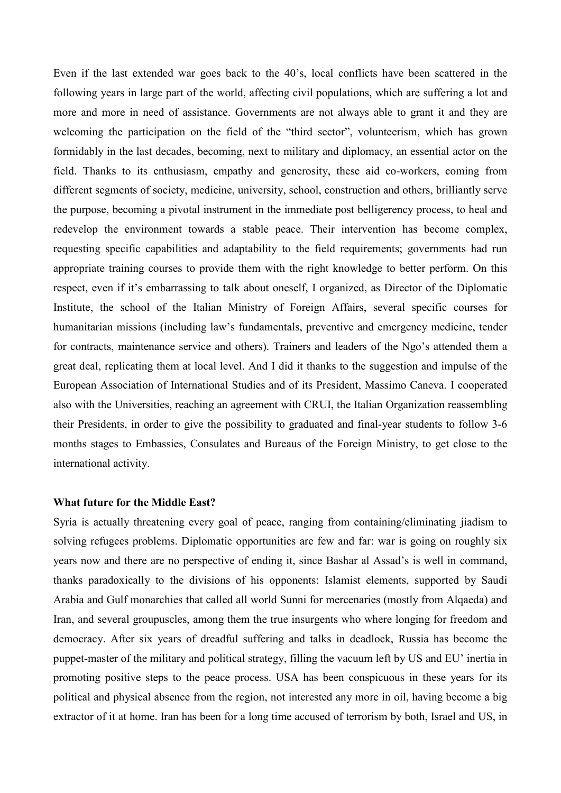Even if the last extended war goes back to the 40's, local conflicts have been scattered in the following years in large part of the world, affecting civil populations, which are suffering a lot and more and more in need of assistance. Governments are not always able to grant it and they are welcoming the participation on the field of the "third sector", volunteerism, which has grown formidably in the last decades, becoming, next to military and diplomacy, an essential actor on the field. Thanks to its enthusiasm, empathy and generosity, these aid co-workers, coming from different segments of society, medicine, university, school, construction and others, brilliantly serve the purpose, becoming a pivotal instrument in the immediate post belligerency process, to heal and redevelop the environment towards a stable peace. Their intervention has become complex, requesting specific capabilities and adaptability to the field requirements; governments had run appropriate training courses to provide them with the right knowledge to better perform. On this respect, even if it's embarrassing to talk about oneself, I organized, as Director of the Diplomatic Institute, the school of the Italian Ministry of Foreign Affairs, several specific courses for humanitarian missions (including law's fundamentals, preventive and emergency medicine, tender for contracts, maintenance service and others). Trainers and leaders of the Ngo's attended them a great deal, replicating them at local level. And I did it thanks to the suggestion and impulse of the European Association of International Studies and of its President, Massimo Caneva. I cooperated also with the Universities, reaching an agreement with CRUI, the Italian Organization reassembling their Presidents, in order to give the possibility to graduated and final-year students to follow 3-6 months stages to Embassies, Consulates and Bureaus of the Foreign Ministry, to get close to the international activity.

#### **What future for the Middle East?**

Syria is actually threatening every goal of peace, ranging from containing/eliminating jiadism to solving refugees problems. Diplomatic opportunities are few and far: war is going on roughly six years now and there are no perspective of ending it, since Bashar al Assad's is well in command, thanks paradoxically to the divisions of his opponents: Islamist elements, supported by Saudi Arabia and Gulf monarchies that called all world Sunni for mercenaries (mostly from Alqaeda) and Iran, and several groupuscles, among them the true insurgents who where longing for freedom and democracy. After six years of dreadful suffering and talks in deadlock, Russia has become the puppet-master of the military and political strategy, filling the vacuum left by US and EU' inertia in promoting positive steps to the peace process. USA has been conspicuous in these years for its political and physical absence from the region, not interested any more in oil, having become a big extractor of it at home. Iran has been for a long time accused of terrorism by both, Israel and US, in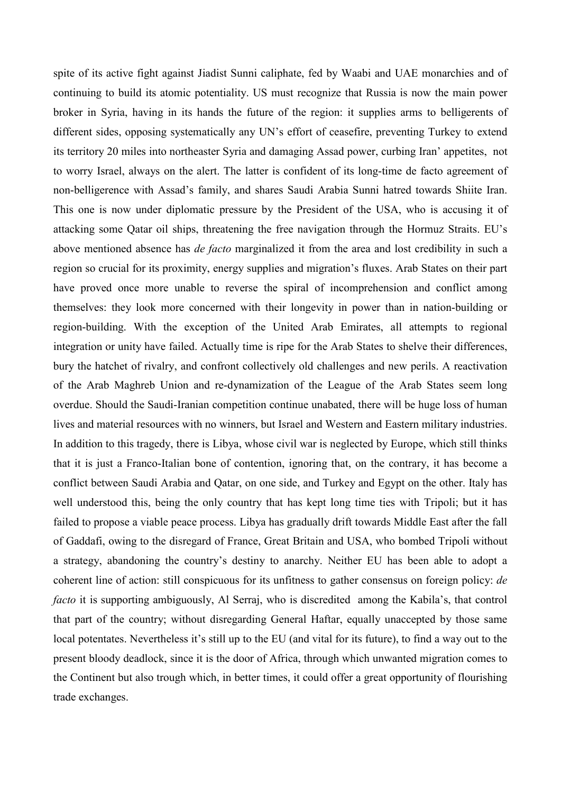spite of its active fight against Jiadist Sunni caliphate, fed by Waabi and UAE monarchies and of continuing to build its atomic potentiality. US must recognize that Russia is now the main power broker in Syria, having in its hands the future of the region: it supplies arms to belligerents of different sides, opposing systematically any UN's effort of ceasefire, preventing Turkey to extend its territory 20 miles into northeaster Syria and damaging Assad power, curbing Iran' appetites, not to worry Israel, always on the alert. The latter is confident of its long-time de facto agreement of non-belligerence with Assad's family, and shares Saudi Arabia Sunni hatred towards Shiite Iran. This one is now under diplomatic pressure by the President of the USA, who is accusing it of attacking some Qatar oil ships, threatening the free navigation through the Hormuz Straits. EU's above mentioned absence has *de facto* marginalized it from the area and lost credibility in such a region so crucial for its proximity, energy supplies and migration's fluxes. Arab States on their part have proved once more unable to reverse the spiral of incomprehension and conflict among themselves: they look more concerned with their longevity in power than in nation-building or region-building. With the exception of the United Arab Emirates, all attempts to regional integration or unity have failed. Actually time is ripe for the Arab States to shelve their differences, bury the hatchet of rivalry, and confront collectively old challenges and new perils. A reactivation of the Arab Maghreb Union and re-dynamization of the League of the Arab States seem long overdue. Should the Saudi-Iranian competition continue unabated, there will be huge loss of human lives and material resources with no winners, but Israel and Western and Eastern military industries. In addition to this tragedy, there is Libya, whose civil war is neglected by Europe, which still thinks that it is just a Franco-Italian bone of contention, ignoring that, on the contrary, it has become a conflict between Saudi Arabia and Qatar, on one side, and Turkey and Egypt on the other. Italy has well understood this, being the only country that has kept long time ties with Tripoli; but it has failed to propose a viable peace process. Libya has gradually drift towards Middle East after the fall of Gaddafi, owing to the disregard of France, Great Britain and USA, who bombed Tripoli without a strategy, abandoning the country's destiny to anarchy. Neither EU has been able to adopt a coherent line of action: still conspicuous for its unfitness to gather consensus on foreign policy: *de facto* it is supporting ambiguously, Al Serraj, who is discredited among the Kabila's, that control that part of the country; without disregarding General Haftar, equally unaccepted by those same local potentates. Nevertheless it's still up to the EU (and vital for its future), to find a way out to the present bloody deadlock, since it is the door of Africa, through which unwanted migration comes to the Continent but also trough which, in better times, it could offer a great opportunity of flourishing trade exchanges.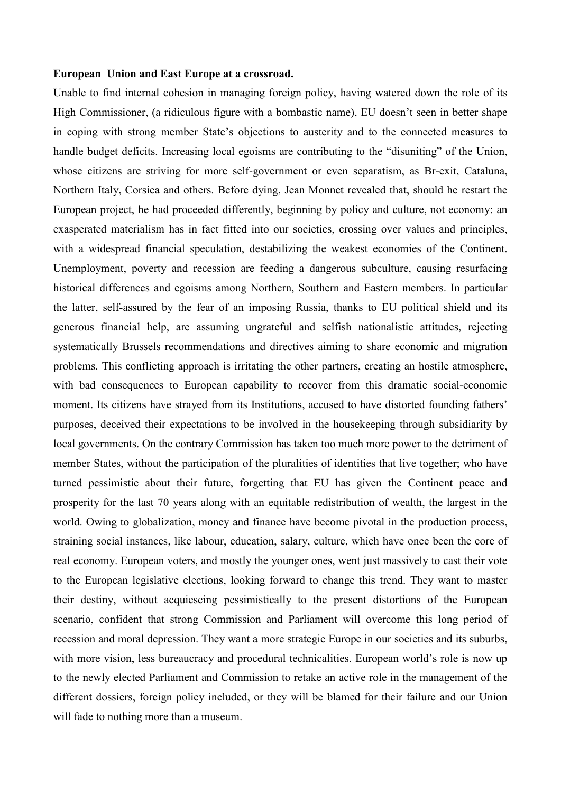### **European Union and East Europe at a crossroad.**

Unable to find internal cohesion in managing foreign policy, having watered down the role of its High Commissioner, (a ridiculous figure with a bombastic name), EU doesn't seen in better shape in coping with strong member State's objections to austerity and to the connected measures to handle budget deficits. Increasing local egoisms are contributing to the "disuniting" of the Union, whose citizens are striving for more self-government or even separatism, as Br-exit, Cataluna, Northern Italy, Corsica and others. Before dying, Jean Monnet revealed that, should he restart the European project, he had proceeded differently, beginning by policy and culture, not economy: an exasperated materialism has in fact fitted into our societies, crossing over values and principles, with a widespread financial speculation, destabilizing the weakest economies of the Continent. Unemployment, poverty and recession are feeding a dangerous subculture, causing resurfacing historical differences and egoisms among Northern, Southern and Eastern members. In particular the latter, self-assured by the fear of an imposing Russia, thanks to EU political shield and its generous financial help, are assuming ungrateful and selfish nationalistic attitudes, rejecting systematically Brussels recommendations and directives aiming to share economic and migration problems. This conflicting approach is irritating the other partners, creating an hostile atmosphere, with bad consequences to European capability to recover from this dramatic social-economic moment. Its citizens have strayed from its Institutions, accused to have distorted founding fathers' purposes, deceived their expectations to be involved in the housekeeping through subsidiarity by local governments. On the contrary Commission has taken too much more power to the detriment of member States, without the participation of the pluralities of identities that live together; who have turned pessimistic about their future, forgetting that EU has given the Continent peace and prosperity for the last 70 years along with an equitable redistribution of wealth, the largest in the world. Owing to globalization, money and finance have become pivotal in the production process, straining social instances, like labour, education, salary, culture, which have once been the core of real economy. European voters, and mostly the younger ones, went just massively to cast their vote to the European legislative elections, looking forward to change this trend. They want to master their destiny, without acquiescing pessimistically to the present distortions of the European scenario, confident that strong Commission and Parliament will overcome this long period of recession and moral depression. They want a more strategic Europe in our societies and its suburbs, with more vision, less bureaucracy and procedural technicalities. European world's role is now up to the newly elected Parliament and Commission to retake an active role in the management of the different dossiers, foreign policy included, or they will be blamed for their failure and our Union will fade to nothing more than a museum.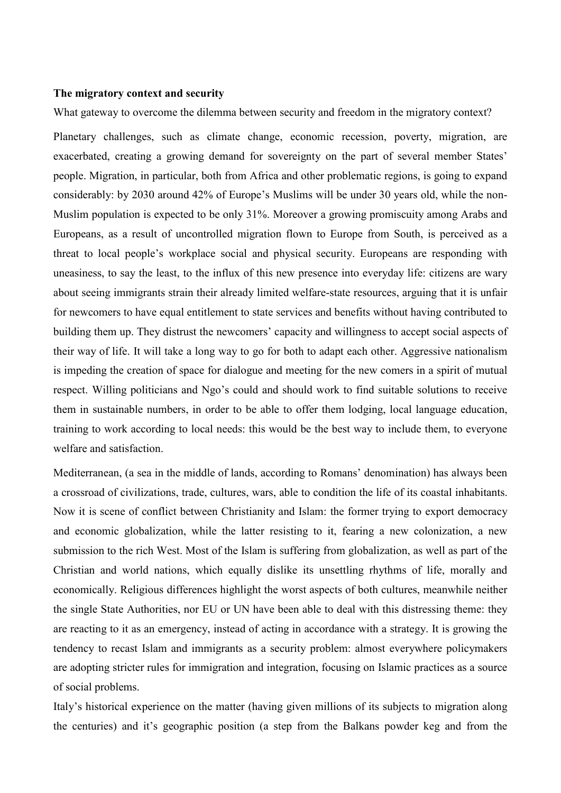## **The migratory context and security**

What gateway to overcome the dilemma between security and freedom in the migratory context?

Planetary challenges, such as climate change, economic recession, poverty, migration, are exacerbated, creating a growing demand for sovereignty on the part of several member States' people. Migration, in particular, both from Africa and other problematic regions, is going to expand considerably: by 2030 around 42% of Europe's Muslims will be under 30 years old, while the non-Muslim population is expected to be only 31%. Moreover a growing promiscuity among Arabs and Europeans, as a result of uncontrolled migration flown to Europe from South, is perceived as a threat to local people's workplace social and physical security. Europeans are responding with uneasiness, to say the least, to the influx of this new presence into everyday life: citizens are wary about seeing immigrants strain their already limited welfare-state resources, arguing that it is unfair for newcomers to have equal entitlement to state services and benefits without having contributed to building them up. They distrust the newcomers' capacity and willingness to accept social aspects of their way of life. It will take a long way to go for both to adapt each other. Aggressive nationalism is impeding the creation of space for dialogue and meeting for the new comers in a spirit of mutual respect. Willing politicians and Ngo's could and should work to find suitable solutions to receive them in sustainable numbers, in order to be able to offer them lodging, local language education, training to work according to local needs: this would be the best way to include them, to everyone welfare and satisfaction.

Mediterranean, (a sea in the middle of lands, according to Romans' denomination) has always been a crossroad of civilizations, trade, cultures, wars, able to condition the life of its coastal inhabitants. Now it is scene of conflict between Christianity and Islam: the former trying to export democracy and economic globalization, while the latter resisting to it, fearing a new colonization, a new submission to the rich West. Most of the Islam is suffering from globalization, as well as part of the Christian and world nations, which equally dislike its unsettling rhythms of life, morally and economically. Religious differences highlight the worst aspects of both cultures, meanwhile neither the single State Authorities, nor EU or UN have been able to deal with this distressing theme: they are reacting to it as an emergency, instead of acting in accordance with a strategy. It is growing the tendency to recast Islam and immigrants as a security problem: almost everywhere policymakers are adopting stricter rules for immigration and integration, focusing on Islamic practices as a source of social problems.

Italy's historical experience on the matter (having given millions of its subjects to migration along the centuries) and it's geographic position (a step from the Balkans powder keg and from the